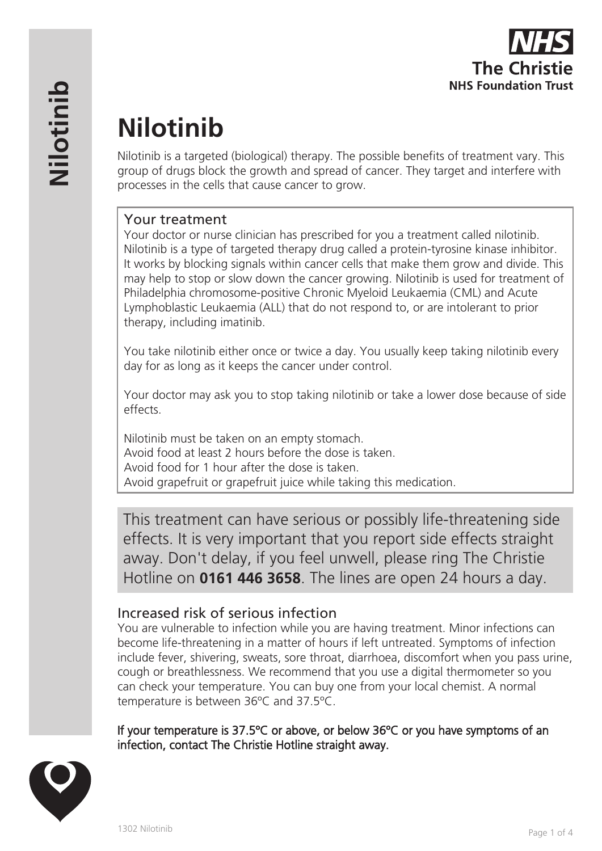

# **Nilotinib**

Nilotinib is a targeted (biological) therapy. The possible benefits of treatment vary. This group of drugs block the growth and spread of cancer. They target and interfere with processes in the cells that cause cancer to grow.

# Your treatment

Your doctor or nurse clinician has prescribed for you a treatment called nilotinib. Nilotinib is a type of targeted therapy drug called a protein-tyrosine kinase inhibitor. It works by blocking signals within cancer cells that make them grow and divide. This may help to stop or slow down the cancer growing. Nilotinib is used for treatment of Philadelphia chromosome-positive Chronic Myeloid Leukaemia (CML) and Acute Lymphoblastic Leukaemia (ALL) that do not respond to, or are intolerant to prior therapy, including imatinib.

You take nilotinib either once or twice a day. You usually keep taking nilotinib every day for as long as it keeps the cancer under control.

Your doctor may ask you to stop taking nilotinib or take a lower dose because of side effects.

Nilotinib must be taken on an empty stomach. Avoid food at least 2 hours before the dose is taken. Avoid food for 1 hour after the dose is taken. Avoid grapefruit or grapefruit juice while taking this medication.

This treatment can have serious or possibly life-threatening side effects. It is very important that you report side effects straight away. Don't delay, if you feel unwell, please ring The Christie Hotline on **0161 446 3658**. The lines are open 24 hours a day.

# Increased risk of serious infection

You are vulnerable to infection while you are having treatment. Minor infections can become life-threatening in a matter of hours if left untreated. Symptoms of infection include fever, shivering, sweats, sore throat, diarrhoea, discomfort when you pass urine, cough or breathlessness. We recommend that you use a digital thermometer so you can check your temperature. You can buy one from your local chemist. A normal temperature is between 36ºC and 37.5ºC.

If your temperature is 37.5ºC or above, or below 36ºC or you have symptoms of an infection, contact The Christie Hotline straight away.

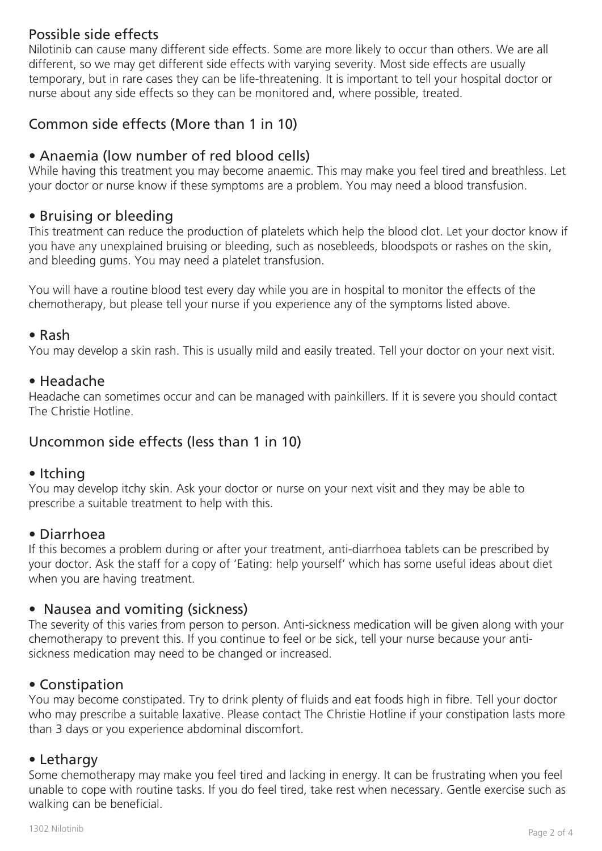# Possible side effects

Nilotinib can cause many different side effects. Some are more likely to occur than others. We are all different, so we may get different side effects with varying severity. Most side effects are usually temporary, but in rare cases they can be life-threatening. It is important to tell your hospital doctor or nurse about any side effects so they can be monitored and, where possible, treated.

# Common side effects (More than 1 in 10)

# • Anaemia (low number of red blood cells)

While having this treatment you may become anaemic. This may make you feel tired and breathless. Let your doctor or nurse know if these symptoms are a problem. You may need a blood transfusion.

## • Bruising or bleeding

This treatment can reduce the production of platelets which help the blood clot. Let your doctor know if you have any unexplained bruising or bleeding, such as nosebleeds, bloodspots or rashes on the skin, and bleeding gums. You may need a platelet transfusion.

You will have a routine blood test every day while you are in hospital to monitor the effects of the chemotherapy, but please tell your nurse if you experience any of the symptoms listed above.

### • Rash

You may develop a skin rash. This is usually mild and easily treated. Tell your doctor on your next visit.

## • Headache

Headache can sometimes occur and can be managed with painkillers. If it is severe you should contact The Christie Hotline.

## Uncommon side effects (less than 1 in 10)

### • Itching

You may develop itchy skin. Ask your doctor or nurse on your next visit and they may be able to prescribe a suitable treatment to help with this.

### • Diarrhoea

If this becomes a problem during or after your treatment, anti-diarrhoea tablets can be prescribed by your doctor. Ask the staff for a copy of 'Eating: help yourself' which has some useful ideas about diet when you are having treatment.

## • Nausea and vomiting (sickness)

The severity of this varies from person to person. Anti-sickness medication will be given along with your chemotherapy to prevent this. If you continue to feel or be sick, tell your nurse because your antisickness medication may need to be changed or increased.

## • Constipation

You may become constipated. Try to drink plenty of fluids and eat foods high in fibre. Tell your doctor who may prescribe a suitable laxative. Please contact The Christie Hotline if your constipation lasts more than 3 days or you experience abdominal discomfort.

### • Lethargy

Some chemotherapy may make you feel tired and lacking in energy. It can be frustrating when you feel unable to cope with routine tasks. If you do feel tired, take rest when necessary. Gentle exercise such as walking can be beneficial.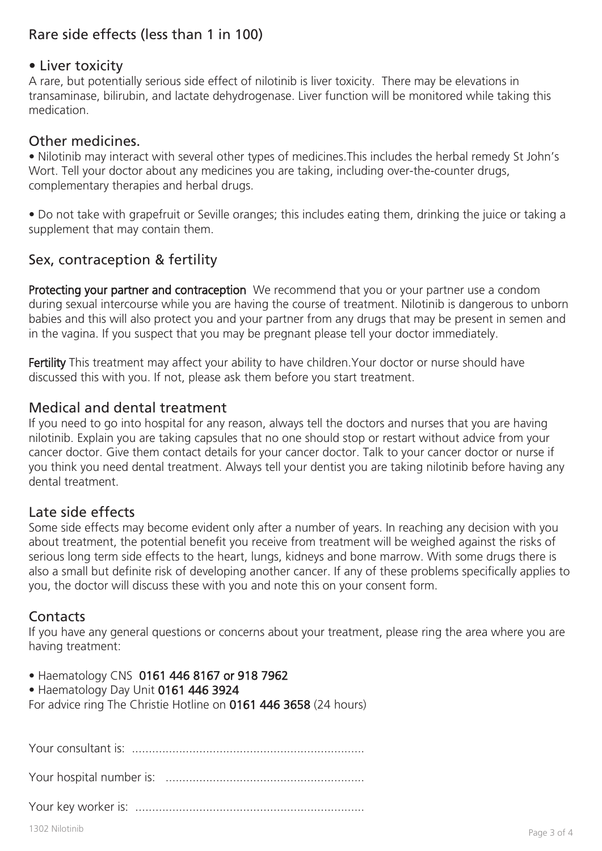# Rare side effects (less than 1 in 100)

## • Liver toxicity

A rare, but potentially serious side effect of nilotinib is liver toxicity. There may be elevations in transaminase, bilirubin, and lactate dehydrogenase. Liver function will be monitored while taking this medication.

#### Other medicines.

• Nilotinib may interact with several other types of medicines.This includes the herbal remedy St John's Wort. Tell your doctor about any medicines you are taking, including over-the-counter drugs, complementary therapies and herbal drugs.

• Do not take with grapefruit or Seville oranges; this includes eating them, drinking the juice or taking a supplement that may contain them.

## Sex, contraception & fertility

Protecting your partner and contraception We recommend that you or your partner use a condom during sexual intercourse while you are having the course of treatment. Nilotinib is dangerous to unborn babies and this will also protect you and your partner from any drugs that may be present in semen and in the vagina. If you suspect that you may be pregnant please tell your doctor immediately.

Fertility This treatment may affect your ability to have children. Your doctor or nurse should have discussed this with you. If not, please ask them before you start treatment.

### Medical and dental treatment

If you need to go into hospital for any reason, always tell the doctors and nurses that you are having nilotinib. Explain you are taking capsules that no one should stop or restart without advice from your cancer doctor. Give them contact details for your cancer doctor. Talk to your cancer doctor or nurse if you think you need dental treatment. Always tell your dentist you are taking nilotinib before having any dental treatment.

### Late side effects

Some side effects may become evident only after a number of years. In reaching any decision with you about treatment, the potential benefit you receive from treatment will be weighed against the risks of serious long term side effects to the heart, lungs, kidneys and bone marrow. With some drugs there is also a small but definite risk of developing another cancer. If any of these problems specifically applies to you, the doctor will discuss these with you and note this on your consent form.

### **Contacts**

If you have any general questions or concerns about your treatment, please ring the area where you are having treatment:

• Haematology CNS 0161 446 8167 or 918 7962

• Haematology Day Unit 0161 446 3924

For advice ring The Christie Hotline on 0161 446 3658 (24 hours)

Your consultant is: .....................................................................

Your hospital number is: ...........................................................

Your key worker is: ....................................................................